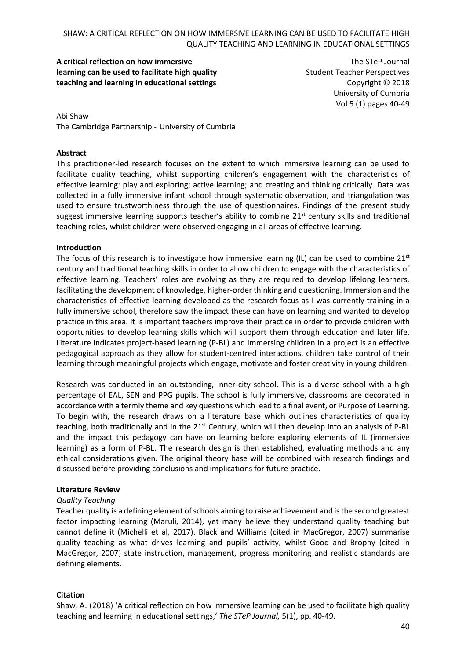**A critical reflection on how immersive learning can be used to facilitate high quality teaching and learning in educational settings**

The STeP Journal Student Teacher Perspectives Copyright © 2018 University of Cumbria Vol 5 (1) pages 40-49

Abi Shaw The Cambridge Partnership - University of Cumbria

#### **Abstract**

This practitioner-led research focuses on the extent to which immersive learning can be used to facilitate quality teaching, whilst supporting children's engagement with the characteristics of effective learning: play and exploring; active learning; and creating and thinking critically. Data was collected in a fully immersive infant school through systematic observation, and triangulation was used to ensure trustworthiness through the use of questionnaires. Findings of the present study suggest immersive learning supports teacher's ability to combine  $21<sup>st</sup>$  century skills and traditional teaching roles, whilst children were observed engaging in all areas of effective learning.

#### **Introduction**

The focus of this research is to investigate how immersive learning (IL) can be used to combine  $21<sup>st</sup>$ century and traditional teaching skills in order to allow children to engage with the characteristics of effective learning. Teachers' roles are evolving as they are required to develop lifelong learners, facilitating the development of knowledge, higher-order thinking and questioning. Immersion and the characteristics of effective learning developed as the research focus as I was currently training in a fully immersive school, therefore saw the impact these can have on learning and wanted to develop practice in this area. It is important teachers improve their practice in order to provide children with opportunities to develop learning skills which will support them through education and later life. Literature indicates project-based learning (P-BL) and immersing children in a project is an effective pedagogical approach as they allow for student-centred interactions, children take control of their learning through meaningful projects which engage, motivate and foster creativity in young children.

Research was conducted in an outstanding, inner-city school. This is a diverse school with a high percentage of EAL, SEN and PPG pupils. The school is fully immersive, classrooms are decorated in accordance with a termly theme and key questions which lead to a final event, or Purpose of Learning. To begin with, the research draws on a literature base which outlines characteristics of quality teaching, both traditionally and in the  $21<sup>st</sup>$  Century, which will then develop into an analysis of P-BL and the impact this pedagogy can have on learning before exploring elements of IL (immersive learning) as a form of P-BL. The research design is then established, evaluating methods and any ethical considerations given. The original theory base will be combined with research findings and discussed before providing conclusions and implications for future practice.

#### **Literature Review**

### *Quality Teaching*

Teacher quality is a defining element of schools aiming to raise achievement and is the second greatest factor impacting learning (Maruli, 2014), yet many believe they understand quality teaching but cannot define it (Michelli et al, 2017). Black and Williams (cited in MacGregor, 2007) summarise quality teaching as what drives learning and pupils' activity, whilst Good and Brophy (cited in MacGregor, 2007) state instruction, management, progress monitoring and realistic standards are defining elements.

### **Citation**

Shaw, A. (2018) 'A critical reflection on how immersive learning can be used to facilitate high quality teaching and learning in educational settings,' *The STeP Journal,* 5(1), pp. 40-49.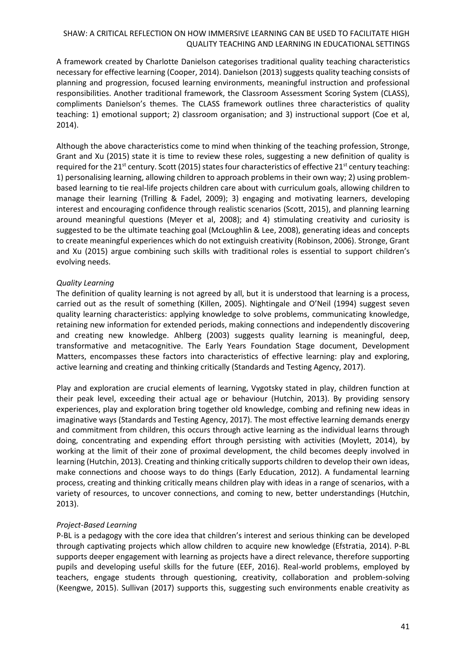A framework created by Charlotte Danielson categorises traditional quality teaching characteristics necessary for effective learning (Cooper, 2014). Danielson (2013) suggests quality teaching consists of planning and progression, focused learning environments, meaningful instruction and professional responsibilities. Another traditional framework, the Classroom Assessment Scoring System (CLASS), compliments Danielson's themes. The CLASS framework outlines three characteristics of quality teaching: 1) emotional support; 2) classroom organisation; and 3) instructional support (Coe et al, 2014).

Although the above characteristics come to mind when thinking of the teaching profession, Stronge, Grant and Xu (2015) state it is time to review these roles, suggesting a new definition of quality is required for the 21<sup>st</sup> century. Scott (2015) states four characteristics of effective 21<sup>st</sup> century teaching: 1) personalising learning, allowing children to approach problems in their own way; 2) using problembased learning to tie real-life projects children care about with curriculum goals, allowing children to manage their learning (Trilling & Fadel, 2009); 3) engaging and motivating learners, developing interest and encouraging confidence through realistic scenarios (Scott, 2015), and planning learning around meaningful questions (Meyer et al, 2008); and 4) stimulating creativity and curiosity is suggested to be the ultimate teaching goal (McLoughlin & Lee, 2008), generating ideas and concepts to create meaningful experiences which do not extinguish creativity (Robinson, 2006). Stronge, Grant and Xu (2015) argue combining such skills with traditional roles is essential to support children's evolving needs.

## *Quality Learning*

The definition of quality learning is not agreed by all, but it is understood that learning is a process, carried out as the result of something (Killen, 2005). Nightingale and O'Neil (1994) suggest seven quality learning characteristics: applying knowledge to solve problems, communicating knowledge, retaining new information for extended periods, making connections and independently discovering and creating new knowledge. Ahlberg (2003) suggests quality learning is meaningful, deep, transformative and metacognitive. The Early Years Foundation Stage document, Development Matters, encompasses these factors into characteristics of effective learning: play and exploring, active learning and creating and thinking critically (Standards and Testing Agency, 2017).

Play and exploration are crucial elements of learning, Vygotsky stated in play, children function at their peak level, exceeding their actual age or behaviour (Hutchin, 2013). By providing sensory experiences, play and exploration bring together old knowledge, combing and refining new ideas in imaginative ways (Standards and Testing Agency, 2017). The most effective learning demands energy and commitment from children, this occurs through active learning as the individual learns through doing, concentrating and expending effort through persisting with activities (Moylett, 2014), by working at the limit of their zone of proximal development, the child becomes deeply involved in learning (Hutchin, 2013). Creating and thinking critically supports children to develop their own ideas, make connections and choose ways to do things (Early Education, 2012). A fundamental learning process, creating and thinking critically means children play with ideas in a range of scenarios, with a variety of resources, to uncover connections, and coming to new, better understandings (Hutchin, 2013).

# *Project-Based Learning*

P-BL is a pedagogy with the core idea that children's interest and serious thinking can be developed through captivating projects which allow children to acquire new knowledge (Efstratia, 2014). P-BL supports deeper engagement with learning as projects have a direct relevance, therefore supporting pupils and developing useful skills for the future (EEF, 2016). Real-world problems, employed by teachers, engage students through questioning, creativity, collaboration and problem-solving (Keengwe, 2015). Sullivan (2017) supports this, suggesting such environments enable creativity as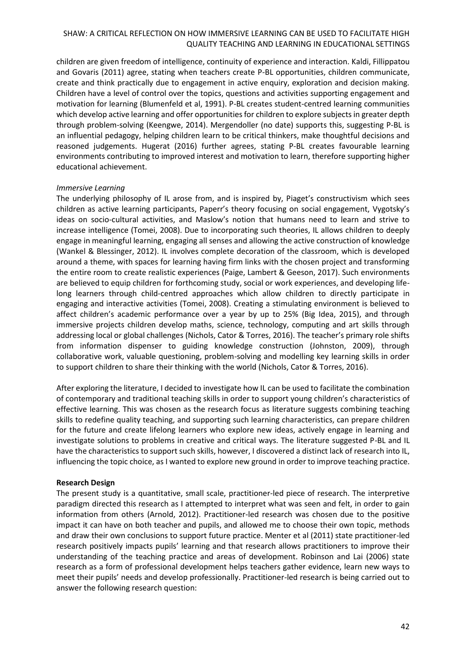children are given freedom of intelligence, continuity of experience and interaction. Kaldi, Fillippatou and Govaris (2011) agree, stating when teachers create P-BL opportunities, children communicate, create and think practically due to engagement in active enquiry, exploration and decision making. Children have a level of control over the topics, questions and activities supporting engagement and motivation for learning (Blumenfeld et al, 1991). P-BL creates student-centred learning communities which develop active learning and offer opportunities for children to explore subjects in greater depth through problem-solving (Keengwe, 2014). Mergendoller (no date) supports this, suggesting P-BL is an influential pedagogy, helping children learn to be critical thinkers, make thoughtful decisions and reasoned judgements. Hugerat (2016) further agrees, stating P-BL creates favourable learning environments contributing to improved interest and motivation to learn, therefore supporting higher educational achievement.

### *Immersive Learning*

The underlying philosophy of IL arose from, and is inspired by, Piaget's constructivism which sees children as active learning participants, Paperr's theory focusing on social engagement, Vygotsky's ideas on socio-cultural activities, and Maslow's notion that humans need to learn and strive to increase intelligence (Tomei, 2008). Due to incorporating such theories, IL allows children to deeply engage in meaningful learning, engaging all senses and allowing the active construction of knowledge (Wankel & Blessinger, 2012). IL involves complete decoration of the classroom, which is developed around a theme, with spaces for learning having firm links with the chosen project and transforming the entire room to create realistic experiences (Paige, Lambert & Geeson, 2017). Such environments are believed to equip children for forthcoming study, social or work experiences, and developing lifelong learners through child-centred approaches which allow children to directly participate in engaging and interactive activities (Tomei, 2008). Creating a stimulating environment is believed to affect children's academic performance over a year by up to 25% (Big Idea, 2015), and through immersive projects children develop maths, science, technology, computing and art skills through addressing local or global challenges (Nichols, Cator & Torres, 2016). The teacher's primary role shifts from information dispenser to guiding knowledge construction (Johnston, 2009), through collaborative work, valuable questioning, problem-solving and modelling key learning skills in order to support children to share their thinking with the world (Nichols, Cator & Torres, 2016).

After exploring the literature, I decided to investigate how IL can be used to facilitate the combination of contemporary and traditional teaching skills in order to support young children's characteristics of effective learning. This was chosen as the research focus as literature suggests combining teaching skills to redefine quality teaching, and supporting such learning characteristics, can prepare children for the future and create lifelong learners who explore new ideas, actively engage in learning and investigate solutions to problems in creative and critical ways. The literature suggested P-BL and IL have the characteristics to support such skills, however, I discovered a distinct lack of research into IL, influencing the topic choice, as I wanted to explore new ground in order to improve teaching practice.

### **Research Design**

The present study is a quantitative, small scale, practitioner-led piece of research. The interpretive paradigm directed this research as I attempted to interpret what was seen and felt, in order to gain information from others (Arnold, 2012). Practitioner-led research was chosen due to the positive impact it can have on both teacher and pupils, and allowed me to choose their own topic, methods and draw their own conclusions to support future practice. Menter et al (2011) state practitioner-led research positively impacts pupils' learning and that research allows practitioners to improve their understanding of the teaching practice and areas of development. Robinson and Lai (2006) state research as a form of professional development helps teachers gather evidence, learn new ways to meet their pupils' needs and develop professionally. Practitioner-led research is being carried out to answer the following research question: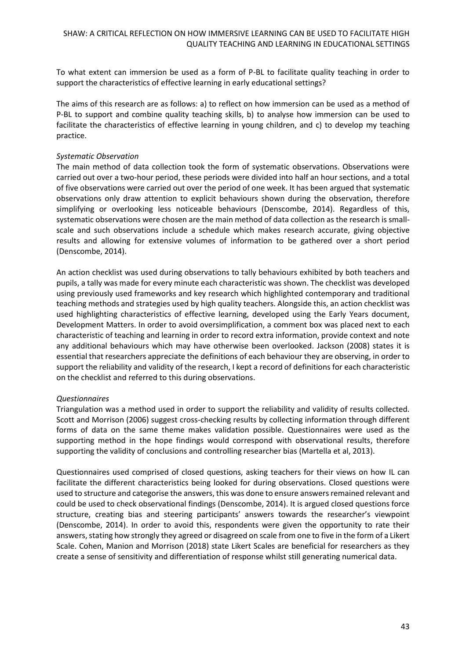To what extent can immersion be used as a form of P-BL to facilitate quality teaching in order to support the characteristics of effective learning in early educational settings?

The aims of this research are as follows: a) to reflect on how immersion can be used as a method of P-BL to support and combine quality teaching skills, b) to analyse how immersion can be used to facilitate the characteristics of effective learning in young children, and c) to develop my teaching practice.

### *Systematic Observation*

The main method of data collection took the form of systematic observations. Observations were carried out over a two-hour period, these periods were divided into half an hour sections, and a total of five observations were carried out over the period of one week. It has been argued that systematic observations only draw attention to explicit behaviours shown during the observation, therefore simplifying or overlooking less noticeable behaviours (Denscombe, 2014). Regardless of this, systematic observations were chosen are the main method of data collection as the research is smallscale and such observations include a schedule which makes research accurate, giving objective results and allowing for extensive volumes of information to be gathered over a short period (Denscombe, 2014).

An action checklist was used during observations to tally behaviours exhibited by both teachers and pupils, a tally was made for every minute each characteristic was shown. The checklist was developed using previously used frameworks and key research which highlighted contemporary and traditional teaching methods and strategies used by high quality teachers. Alongside this, an action checklist was used highlighting characteristics of effective learning, developed using the Early Years document, Development Matters. In order to avoid oversimplification, a comment box was placed next to each characteristic of teaching and learning in order to record extra information, provide context and note any additional behaviours which may have otherwise been overlooked. Jackson (2008) states it is essential that researchers appreciate the definitions of each behaviour they are observing, in order to support the reliability and validity of the research, I kept a record of definitions for each characteristic on the checklist and referred to this during observations.

### *Questionnaires*

Triangulation was a method used in order to support the reliability and validity of results collected. Scott and Morrison (2006) suggest cross-checking results by collecting information through different forms of data on the same theme makes validation possible. Questionnaires were used as the supporting method in the hope findings would correspond with observational results, therefore supporting the validity of conclusions and controlling researcher bias (Martella et al, 2013).

Questionnaires used comprised of closed questions, asking teachers for their views on how IL can facilitate the different characteristics being looked for during observations. Closed questions were used to structure and categorise the answers, this was done to ensure answers remained relevant and could be used to check observational findings (Denscombe, 2014). It is argued closed questions force structure, creating bias and steering participants' answers towards the researcher's viewpoint (Denscombe, 2014). In order to avoid this, respondents were given the opportunity to rate their answers, stating how strongly they agreed or disagreed on scale from one to five in the form of a Likert Scale. Cohen, Manion and Morrison (2018) state Likert Scales are beneficial for researchers as they create a sense of sensitivity and differentiation of response whilst still generating numerical data.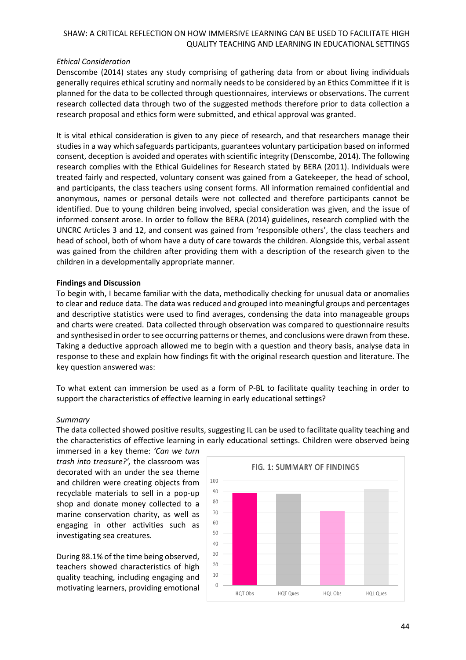## *Ethical Consideration*

Denscombe (2014) states any study comprising of gathering data from or about living individuals generally requires ethical scrutiny and normally needs to be considered by an Ethics Committee if it is planned for the data to be collected through questionnaires, interviews or observations. The current research collected data through two of the suggested methods therefore prior to data collection a research proposal and ethics form were submitted, and ethical approval was granted.

It is vital ethical consideration is given to any piece of research, and that researchers manage their studies in a way which safeguards participants, guarantees voluntary participation based on informed consent, deception is avoided and operates with scientific integrity (Denscombe, 2014). The following research complies with the Ethical Guidelines for Research stated by BERA (2011). Individuals were treated fairly and respected, voluntary consent was gained from a Gatekeeper, the head of school, and participants, the class teachers using consent forms. All information remained confidential and anonymous, names or personal details were not collected and therefore participants cannot be identified. Due to young children being involved, special consideration was given, and the issue of informed consent arose. In order to follow the BERA (2014) guidelines, research complied with the UNCRC Articles 3 and 12, and consent was gained from 'responsible others', the class teachers and head of school, both of whom have a duty of care towards the children. Alongside this, verbal assent was gained from the children after providing them with a description of the research given to the children in a developmentally appropriate manner.

## **Findings and Discussion**

To begin with, I became familiar with the data, methodically checking for unusual data or anomalies to clear and reduce data. The data was reduced and grouped into meaningful groups and percentages and descriptive statistics were used to find averages, condensing the data into manageable groups and charts were created. Data collected through observation was compared to questionnaire results and synthesised in order to see occurring patterns or themes, and conclusions were drawn from these. Taking a deductive approach allowed me to begin with a question and theory basis, analyse data in response to these and explain how findings fit with the original research question and literature. The key question answered was:

To what extent can immersion be used as a form of P-BL to facilitate quality teaching in order to support the characteristics of effective learning in early educational settings?

### *Summary*

The data collected showed positive results, suggesting IL can be used to facilitate quality teaching and the characteristics of effective learning in early educational settings. Children were observed being

immersed in a key theme: *'Can we turn trash into treasure?',* the classroom was decorated with an under the sea theme and children were creating objects from recyclable materials to sell in a pop-up shop and donate money collected to a marine conservation charity, as well as engaging in other activities such as investigating sea creatures.

During 88.1% of the time being observed, teachers showed characteristics of high quality teaching, including engaging and motivating learners, providing emotional

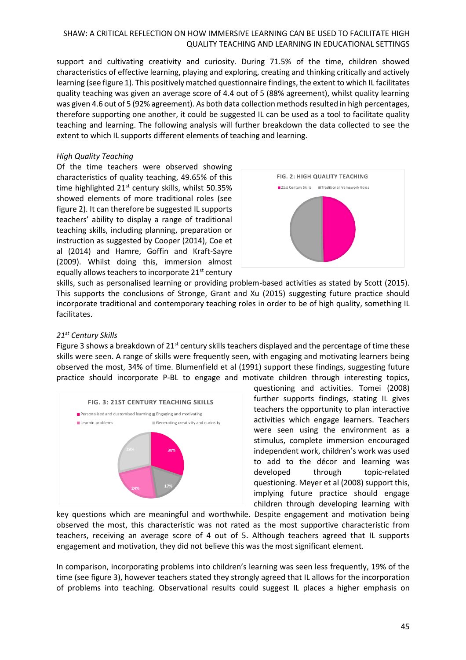support and cultivating creativity and curiosity. During 71.5% of the time, children showed characteristics of effective learning, playing and exploring, creating and thinking critically and actively learning (see figure 1). This positively matched questionnaire findings, the extent to which IL facilitates quality teaching was given an average score of 4.4 out of 5 (88% agreement), whilst quality learning was given 4.6 out of 5 (92% agreement). As both data collection methods resulted in high percentages, therefore supporting one another, it could be suggested IL can be used as a tool to facilitate quality teaching and learning. The following analysis will further breakdown the data collected to see the extent to which IL supports different elements of teaching and learning.

### *High Quality Teaching*

Of the time teachers were observed showing characteristics of quality teaching, 49.65% of this time highlighted  $21<sup>st</sup>$  century skills, whilst 50.35% showed elements of more traditional roles (see figure 2). It can therefore be suggested IL supports teachers' ability to display a range of traditional teaching skills, including planning, preparation or instruction as suggested by Cooper (2014), Coe et al (2014) and Hamre, Goffin and Kraft-Sayre (2009). Whilst doing this, immersion almost equally allows teachers to incorporate 21<sup>st</sup> century



skills, such as personalised learning or providing problem-based activities as stated by Scott (2015). This supports the conclusions of Stronge, Grant and Xu (2015) suggesting future practice should incorporate traditional and contemporary teaching roles in order to be of high quality, something IL facilitates.

## *21st Century Skills*

Figure 3 shows a breakdown of  $21^{st}$  century skills teachers displayed and the percentage of time these skills were seen. A range of skills were frequently seen, with engaging and motivating learners being observed the most, 34% of time. Blumenfield et al (1991) support these findings, suggesting future practice should incorporate P-BL to engage and motivate children through interesting topics,



questioning and activities. Tomei (2008) further supports findings, stating IL gives teachers the opportunity to plan interactive activities which engage learners. Teachers were seen using the environment as a stimulus, complete immersion encouraged independent work, children's work was used to add to the décor and learning was developed through topic-related questioning. Meyer et al (2008) support this, implying future practice should engage children through developing learning with

key questions which are meaningful and worthwhile. Despite engagement and motivation being observed the most, this characteristic was not rated as the most supportive characteristic from teachers, receiving an average score of 4 out of 5. Although teachers agreed that IL supports engagement and motivation, they did not believe this was the most significant element.

In comparison, incorporating problems into children's learning was seen less frequently, 19% of the time (see figure 3), however teachers stated they strongly agreed that IL allows for the incorporation of problems into teaching. Observational results could suggest IL places a higher emphasis on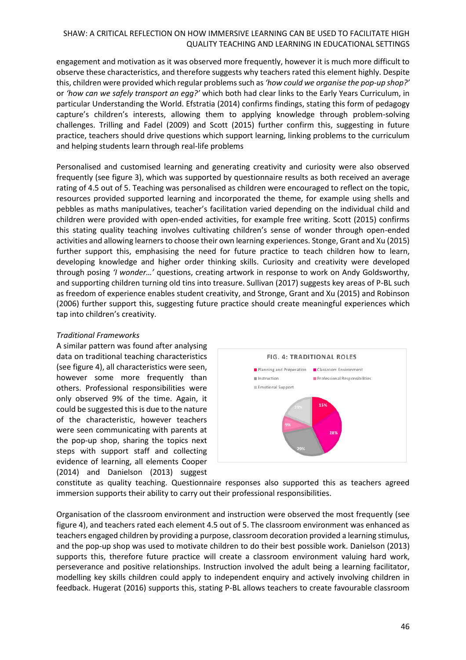engagement and motivation as it was observed more frequently, however it is much more difficult to observe these characteristics, and therefore suggests why teachers rated this element highly. Despite this, children were provided which regular problems such as *'how could we organise the pop-up shop?'*  or *'how can we safely transport an egg?'* which both had clear links to the Early Years Curriculum, in particular Understanding the World. Efstratia (2014) confirms findings, stating this form of pedagogy capture's children's interests, allowing them to applying knowledge through problem-solving challenges. Trilling and Fadel (2009) and Scott (2015) further confirm this, suggesting in future practice, teachers should drive questions which support learning, linking problems to the curriculum and helping students learn through real-life problems

Personalised and customised learning and generating creativity and curiosity were also observed frequently (see figure 3), which was supported by questionnaire results as both received an average rating of 4.5 out of 5. Teaching was personalised as children were encouraged to reflect on the topic, resources provided supported learning and incorporated the theme, for example using shells and pebbles as maths manipulatives, teacher's facilitation varied depending on the individual child and children were provided with open-ended activities, for example free writing. Scott (2015) confirms this stating quality teaching involves cultivating children's sense of wonder through open-ended activities and allowing learners to choose their own learning experiences. Stonge, Grant and Xu (2015) further support this, emphasising the need for future practice to teach children how to learn, developing knowledge and higher order thinking skills. Curiosity and creativity were developed through posing *'I wonder…'* questions, creating artwork in response to work on Andy Goldsworthy, and supporting children turning old tins into treasure. Sullivan (2017) suggests key areas of P-BL such as freedom of experience enables student creativity, and Stronge, Grant and Xu (2015) and Robinson (2006) further support this, suggesting future practice should create meaningful experiences which tap into children's creativity.

### *Traditional Frameworks*

A similar pattern was found after analysing data on traditional teaching characteristics (see figure 4), all characteristics were seen, however some more frequently than others. Professional responsibilities were only observed 9% of the time. Again, it could be suggested this is due to the nature of the characteristic, however teachers were seen communicating with parents at the pop-up shop, sharing the topics next steps with support staff and collecting evidence of learning, all elements Cooper (2014) and Danielson (2013) suggest



constitute as quality teaching. Questionnaire responses also supported this as teachers agreed immersion supports their ability to carry out their professional responsibilities.

Organisation of the classroom environment and instruction were observed the most frequently (see figure 4), and teachers rated each element 4.5 out of 5. The classroom environment was enhanced as teachers engaged children by providing a purpose, classroom decoration provided a learning stimulus, and the pop-up shop was used to motivate children to do their best possible work. Danielson (2013) supports this, therefore future practice will create a classroom environment valuing hard work, perseverance and positive relationships. Instruction involved the adult being a learning facilitator, modelling key skills children could apply to independent enquiry and actively involving children in feedback. Hugerat (2016) supports this, stating P-BL allows teachers to create favourable classroom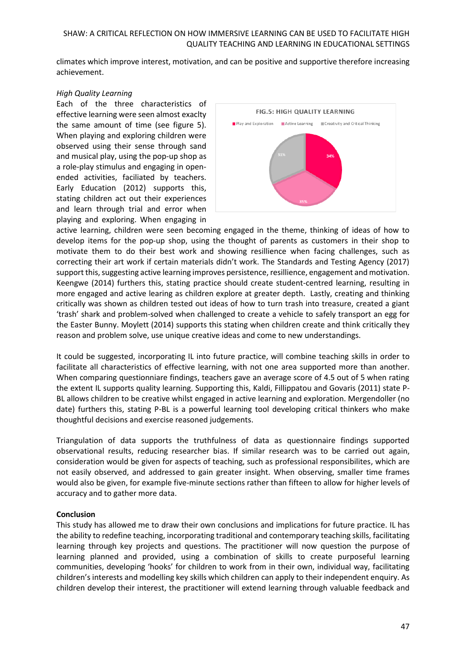climates which improve interest, motivation, and can be positive and supportive therefore increasing achievement.

### *High Quality Learning*

Each of the three characteristics of effective learning were seen almost exaclty the same amount of time (see figure 5). When playing and exploring children were observed using their sense through sand and musical play, using the pop-up shop as a role-play stimulus and engaging in openended activities, faciliated by teachers. Early Education (2012) supports this, stating children act out their experiences and learn through trial and error when playing and exploring. When engaging in



active learning, children were seen becoming engaged in the theme, thinking of ideas of how to develop items for the pop-up shop, using the thought of parents as customers in their shop to motivate them to do their best work and showing resillience when facing challenges, such as correcting their art work if certain materials didn't work. The Standards and Testing Agency (2017) support this, suggesting active learning improves persistence, resillience, engagement and motivation. Keengwe (2014) furthers this, stating practice should create student-centred learning, resulting in more engaged and active learing as children explore at greater depth. Lastly, creating and thinking critically was shown as children tested out ideas of how to turn trash into treasure, created a giant 'trash' shark and problem-solved when challenged to create a vehicle to safely transport an egg for the Easter Bunny. Moylett (2014) supports this stating when children create and think critically they reason and problem solve, use unique creative ideas and come to new understandings.

It could be suggested, incorporating IL into future practice, will combine teaching skills in order to facilitate all characteristics of effective learning, with not one area supported more than another. When comparing questionniare findings, teachers gave an average score of 4.5 out of 5 when rating the extent IL supports quality learning. Supporting this, Kaldi, Fillippatou and Govaris (2011) state P-BL allows children to be creative whilst engaged in active learning and exploration. Mergendoller (no date) furthers this, stating P-BL is a powerful learning tool developing critical thinkers who make thoughtful decisions and exercise reasoned judgements.

Triangulation of data supports the truthfulness of data as questionnaire findings supported observational results, reducing researcher bias. If similar research was to be carried out again, consideration would be given for aspects of teaching, such as professional responsibilites, which are not easily observed, and addressed to gain greater insight. When observing, smaller time frames would also be given, for example five-minute sections rather than fifteen to allow for higher levels of accuracy and to gather more data.

### **Conclusion**

This study has allowed me to draw their own conclusions and implications for future practice. IL has the ability to redefine teaching, incorporating traditional and contemporary teaching skills, facilitating learning through key projects and questions. The practitioner will now question the purpose of learning planned and provided, using a combination of skills to create purposeful learning communities, developing 'hooks' for children to work from in their own, individual way, facilitating children's interests and modelling key skills which children can apply to their independent enquiry. As children develop their interest, the practitioner will extend learning through valuable feedback and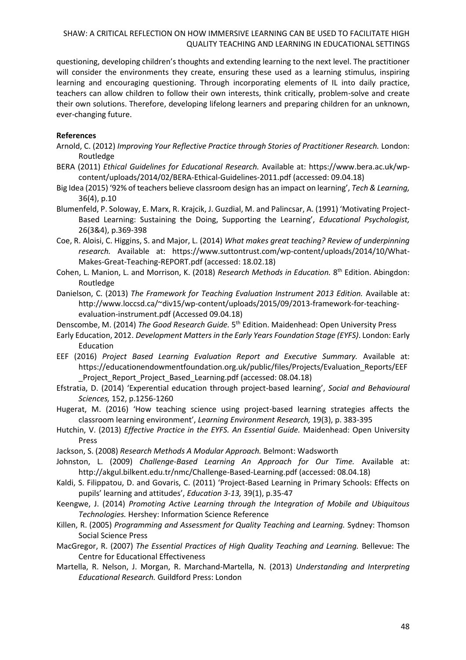questioning, developing children's thoughts and extending learning to the next level. The practitioner will consider the environments they create, ensuring these used as a learning stimulus, inspiring learning and encouraging questioning. Through incorporating elements of IL into daily practice, teachers can allow children to follow their own interests, think critically, problem-solve and create their own solutions. Therefore, developing lifelong learners and preparing children for an unknown, ever-changing future.

### **References**

- Arnold, C. (2012) *Improving Your Reflective Practice through Stories of Practitioner Research.* London: Routledge
- BERA (2011) *Ethical Guidelines for Educational Research.* Available at: [https://www.bera.ac.uk/wp](https://www.bera.ac.uk/wp-content/uploads/2014/02/BERA-Ethical-Guidelines-2011.pdf)[content/uploads/2014/02/BERA-Ethical-Guidelines-2011.pdf](https://www.bera.ac.uk/wp-content/uploads/2014/02/BERA-Ethical-Guidelines-2011.pdf) (accessed: 09.04.18)
- Big Idea (2015) '92% of teachers believe classroom design has an impact on learning', *Tech & Learning,*  36(4), p.10
- Blumenfeld, P. Soloway, E. Marx, R. Krajcik, J. Guzdial, M. and Palincsar, A. (1991) 'Motivating Project-Based Learning: Sustaining the Doing, Supporting the Learning', *Educational Psychologist,*  26(3&4), p.369-398
- Coe, R. Aloisi, C. Higgins, S. and Major, L. (2014) *What makes great teaching? Review of underpinning research.* Available at: [https://www.suttontrust.com/wp-content/uploads/2014/10/What-](https://www.suttontrust.com/wp-content/uploads/2014/10/What-Makes-Great-Teaching-REPORT.pdf)[Makes-Great-Teaching-REPORT.pdf](https://www.suttontrust.com/wp-content/uploads/2014/10/What-Makes-Great-Teaching-REPORT.pdf) (accessed: 18.02.18)
- Cohen, L. Manion, L. and Morrison, K. (2018) *Research Methods in Education.* 8 th Edition. Abingdon: Routledge
- Danielson, C. (2013) *The Framework for Teaching Evaluation Instrument 2013 Edition.* Available at: [http://www.loccsd.ca/~div15/wp-content/uploads/2015/09/2013-framework-for-teaching](http://www.loccsd.ca/~div15/wp-content/uploads/2015/09/2013-framework-for-teaching-evaluation-instrument.pdf)[evaluation-instrument.pdf](http://www.loccsd.ca/~div15/wp-content/uploads/2015/09/2013-framework-for-teaching-evaluation-instrument.pdf) (Accessed 09.04.18)
- Denscombe, M. (2014) *The Good Research Guide.* 5<sup>th</sup> Edition. Maidenhead: Open University Press
- Early Education, 2012. *Development Matters in the Early Years Foundation Stage (EYFS)*. London: Early Education
- EEF (2016) *Project Based Learning Evaluation Report and Executive Summary.* Available at: [https://educationendowmentfoundation.org.uk/public/files/Projects/Evaluation\\_Reports/EEF](https://educationendowmentfoundation.org.uk/public/files/Projects/Evaluation_Reports/EEF_Project_Report_Project_Based_Learning.pdf) [\\_Project\\_Report\\_Project\\_Based\\_Learning.pdf](https://educationendowmentfoundation.org.uk/public/files/Projects/Evaluation_Reports/EEF_Project_Report_Project_Based_Learning.pdf) (accessed: 08.04.18)
- Efstratia, D. (2014) 'Experential education through project-based learning', *Social and Behavioural Sciences,* 152, p.1256-1260
- Hugerat, M. (2016) 'How teaching science using project-based learning strategies affects the classroom learning environment', *Learning Environment Research,* 19(3), p. 383-395
- Hutchin, V. (2013) *Effective Practice in the EYFS. An Essential Guide.* Maidenhead: Open University Press
- Jackson, S. (2008) *Research Methods A Modular Approach.* Belmont: Wadsworth
- Johnston, L. (2009) *Challenge-Based Learning An Approach for Our Time.* Available at: <http://akgul.bilkent.edu.tr/nmc/Challenge-Based-Learning.pdf> (accessed: 08.04.18)
- Kaldi, S. Filippatou, D. and Govaris, C. (2011) 'Project-Based Learning in Primary Schools: Effects on pupils' learning and attitudes', *Education 3-13,* 39(1), p.35-47
- Keengwe, J. (2014) *Promoting Active Learning through the Integration of Mobile and Ubiquitous Technologies.* Hershey: Information Science Reference
- Killen, R. (2005) *Programming and Assessment for Quality Teaching and Learning.* Sydney: Thomson Social Science Press
- MacGregor, R. (2007) *The Essential Practices of High Quality Teaching and Learning.* Bellevue: The Centre for Educational Effectiveness
- Martella, R. Nelson, J. Morgan, R. Marchand-Martella, N. (2013) *Understanding and Interpreting Educational Research.* Guildford Press: London